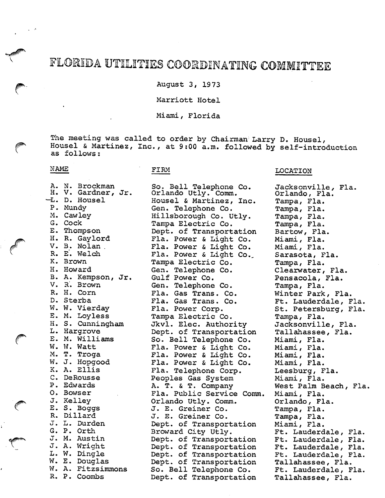# FLORIDA UTILITIES COORDINATING COMMITTEE

August 3, 1973

# Marriott Hotel

Miami, Florida

The meeting was called to order by Chairman Larry D. Housel,<br>Housel & Martinez, Inc., at 9:00 a.m. followed by self-introduction as follows;

So. Bell Telephone Co.

## NAME

#### FIRM

| $E_{\bullet}$ |          |                                                                                                                                                                                                                                                                                                                                                                                                                                                                                                                                                      |
|---------------|----------|------------------------------------------------------------------------------------------------------------------------------------------------------------------------------------------------------------------------------------------------------------------------------------------------------------------------------------------------------------------------------------------------------------------------------------------------------------------------------------------------------------------------------------------------------|
|               |          |                                                                                                                                                                                                                                                                                                                                                                                                                                                                                                                                                      |
|               |          |                                                                                                                                                                                                                                                                                                                                                                                                                                                                                                                                                      |
|               |          |                                                                                                                                                                                                                                                                                                                                                                                                                                                                                                                                                      |
|               |          |                                                                                                                                                                                                                                                                                                                                                                                                                                                                                                                                                      |
|               |          |                                                                                                                                                                                                                                                                                                                                                                                                                                                                                                                                                      |
|               |          |                                                                                                                                                                                                                                                                                                                                                                                                                                                                                                                                                      |
|               |          |                                                                                                                                                                                                                                                                                                                                                                                                                                                                                                                                                      |
|               |          |                                                                                                                                                                                                                                                                                                                                                                                                                                                                                                                                                      |
|               |          |                                                                                                                                                                                                                                                                                                                                                                                                                                                                                                                                                      |
|               | В.<br>W. | N. Brockman<br>V. Gardner, Jr.<br>D. Housel<br>Mundy<br>Cawley<br>Cock<br>Thompson<br>R. Gaylord<br>Nolan<br>E. Welch<br><b>Brown</b><br>Howard<br>Kempson, Jr.<br>A.<br>V. R. Brown<br>R. H. Corn<br>D. Sterba<br>W. Vierday<br>E. M. Loyless<br>H. S. Cunningham<br>Hargrove<br>M. Williams<br>W. Watt<br>T. Troga<br>J. Hopgood<br>Ellis<br>A.<br>DeRousse<br>Edwards<br>Bowser<br>Kelley<br><b>Boggs</b><br>$S_{\bullet}$<br>Dillard<br>L. Durden<br>P. Orth<br>M. Austin<br>A. Wright<br>W. Dingle<br>E. Douglas<br>A. Fitzsimmons<br>P. Coombs |

Orlando Utly. Comm. Housel & Martinez, Inc. Gen. Telephone Co. Hillsborough Co. Utly. Tampa Electric Co. Dept. of Transportation Fla. Power & Light Co. Fla. Power & Light Co. Fla. Power & Light Co., Tampa Electric Co. Gen. Telephone Co. Gulf Power Co. Gen. Telephone Co. Fla. Gas Trans. Co. Fla. Gas Trans. Co. Fla. Power Corp. Tampa Electric Co. Jkvl. Elec. Authority Dept. of Transportation So. Bell Telephone Co. Fla. Power & Light Co. Fla. Power & Light Co. Fla. Power & Light Co. Fla. Telephone Corp. Peoples Gas System A. T. & T. Company Fla. Public Service Comm. Orlando Utly. Comm. J. E. Greiner Co. J. E. Greiner Co. Dept. of Transportation Broward City Utly. Dept. of Transportation Dept. of Transportation Dept. of Transportation Dept. of Transportation So. Bell Telephone Co. Dept. of Transportation

### LOCATION

Jacksonville, Fla. Orlando, Fla. Tampa, Fla. Tampa, Fla. Tampa, Fla. Tampa, Fla. Bartow, Fla. Miami, Fla. Miami, Fla. Sarasota, Fla. Tampa, Fla. Clearwater, Fla. Pensacola, Fla. Tampa, Fla. Winter Park, Fla. Ft. Lauderdale, Fla. St. Petersburg, Fla. Tampa, Fla, Jacksonville, Fla. Tallahassee, Fla. Miami, Fla. Miami, Fla. Miami, Fla. Miami, Fla. Leesburg, Fla. Miami, Fla. West Palm Beach, Fla. Miami, Fla. Orlando, Fla. Tampa, Fla. Tampa, Fla. Miami, Fla. Ft. Lauderdale, Fla. Ft. Lauderdale, Fla. Ft. Lauderdale, Fla. Ft. Lauderdale, Fla. Tallahassee, Fla. Ft. Lauderdale, Fla. Tallahassee, Fla.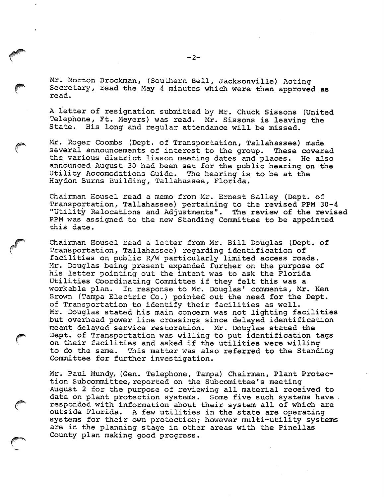Mr. Norton Brockman, (Southern Bell, Jacksonville) Acting Secretary, read the May 4 minutes which were then approved as read.

A letter of resignation submitted by Mr. Chuck Sissons (United Telephone, Ft. Meyers) was read. Mr. Sissons is leaving the State. His long and requiar attendance will be missed. His long and regular attendance will be missed.

Mr. Roger Coombs (Dept. of Transportation, Tallahassee) made several announcements of interest to the group. These covered the various district liason meeting dates and places. He also announced August 30 had been set for the public hearing on the Utility Accomodations Guide. The hearing is to be at the Haydon Burns Building, Tallahassee, Florida.

Chairman Kousel read a memo from Mr. Ernest Salley (Dept. of Transportation, Tallahassee) pertaining to the revised PPM 30-4 "Utility Relocations and Adjustments". The review of the revised PPM was assigned to the new Standing Committee to be appointed this date.

Chairman Housel read a letter from Mr. Bill Douglas (Dept. of Transportation, Tallahassee) regarding identification of facilities on public R/W particularly limited access roads. Mr. Douglas being present expanded further on the purpose of his letter pointing out the intent was to ask the Florida Utilities Coordinating Committee if they felt this was a workable plan. In response to Mr. Douglas' comments, Mr. Ken Brown (Tampa Electric Co.) pointed out the need for the Dept. of Transportation to identify their facilities as well. Mr. Douglas stated his main concern was not lighting facilities but overhead power line crossings since delayed identification meant delayed service restoration. Mr. Douglas stated the Dept. of Transportation was willing to put identification tags on their facilities and asked if the utilities were willing to do the same. This matter was also referred to the Standing Committee for further investigation.

Mr. Paul Mundy, (Gen. Telephone, Tampa) Chairman, Plant Protec tion Subcommittee, reported on the Subcomittee's meeting August 2 for the purpose of reviewing all material received to date on plant protection systems. Some five such systems have. responded with information about their system all of which are outside Florida. A few utilities in the state are operating systems for their own protection; however multi-utility systems are in the planning stage in other areas with the Pinellas County plan making good progress.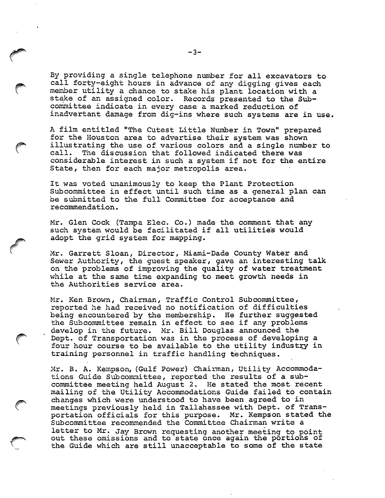By providing a single telephone number for all excavators to call forty-eight hours in advance of any digging gives each member utility a chance to stake his plant location with a stake of an assigned color. Records presented to the Subcommittee indicate in every case a marked reduction of inadvertent damage from dig-ins where such systems are in use.

A film entitled "The Cutest Little Number in Town" prepared for the Houston area to advertise their system was shown illustrating the use of various colors and a single number to call. The discussion that followed indicated there was considerable interest in such a system if not for the entire State, then for each major metropolis area.

It was voted unanimously to keep the Plant Protection Subcommittee in effect until such time as a general plan can be submitted to the full Committee for acceptance and recommendation.

Mr. Glen Cock (Tampa Elec. Co.) made the comment that any such system would be facilitated if all utilities would adopt the grid system for mapping.

Mr. Garrett Sloan, Director, Miami-Dade County Water and Sewer Authority, the guest speaker, gave an interesting talk on the problems of improving the quality of water treatment while at the same time expanding to meet growth needs in the Authorities service area.

Mr. Ken Brown, Chairman, Traffic Control Subcommittee, reported he had received no notification of difficulties being encountered by the membership. He further suggested the Subcommittee remain in effect to see if any problems develop in the future. Mr. Bill Douglas announced the Dept. of Transportation was in the process of developing a four hour course to be available to the utility industry in training personnel in traffic handling techniques.

Mr. B. A. Kempson, (Gulf Power) Chairman, Utility Accommoda tions Guide Subcommittee, reported the results of a sub committee meeting held August 2. He stated the most recent mailing of the Utility Accommodations Guide failed to contain changes which were understood to have been agreed to in meetings previously held in Tallahassee with Dept. of Trans portation officials for this purpose. Mr. Kempson stated the Subcommittee recommended the Committee Chairman write a letter to Mr. Jay Brown requesting another meeting to point out these omissions and to state once again the portions of the Guide which are still unacceptable to some of the state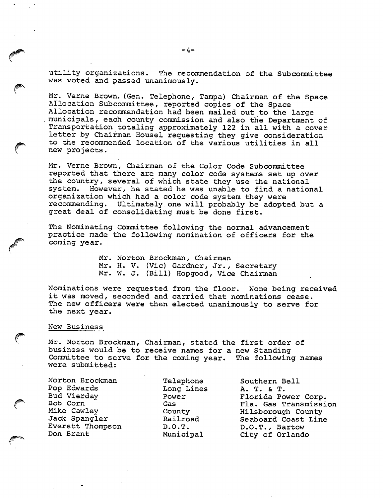utility organizations. The recommendation of the Subcommittee was voted and passed unanimously.

Mr. Verne Brown, (Gen. Telephone, Tampa) Chairman of the Space Allocation Subcommittee, reported copies of the Space Allocation recommendation had been mailed out to the large municipals, each county commission and also the Department of Transportation totaling approximately 122 in all with a cover letter by Chairman Housel requesting they give consideration to the recommended location of the various utilities in all new projects.

Mr. Verne Brown, Chairman of the Color Code Subcommittee reported that there are many color code systems set up over the country, several of which state they use the national system. However, he stated he was unable to find a national organization which had a color code system they were recommending. Ultimately one will probably be adopted but a great deal of consolidating must be done first.

The Nominating Committee following the normal advancement practice made the following nomination of officers for the coming year.

> Mr. Norton Brockman, Chairman Mr. H. V. (Vic) Gardner, Jr., Secretary Mr. W. J. (Bill) Hopgood, Vice Chairman

Nominations were requested from the floor. None being received it was moved, seconded and carried that nominations cease. The new officers were then elected unanimously to serve for the next year.

#### Nev; Business

Mr. Norton Brockman, Chairman, stated the first order of business would be to receive names for a new Standing Committee to serve for the coming year. The following names were submitted:

Norton Brockman Pop Edwards Bud Vierday Bob Corn Mike Cawley Jack Spangler Everett Thompson Don Brant

Telephone Long Lines Power Gas County Railroad D.O.T. Municipal

Southern Bell A. T. & T. Florida Power Corp. Fla. Gas Transmission Hilsborough County Seaboard Coast Line D.O.T., Bartow City of Orlando